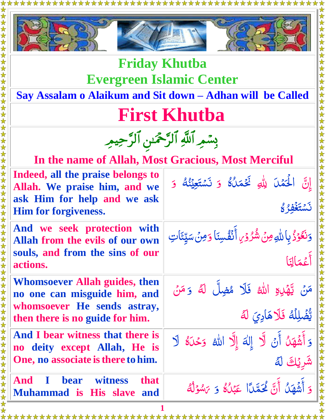



**Friday Khutba Evergreen Islamic Center**

**Say Assalam o Alaikum and Sit down – Adhan will be Called**

### **First Khutba**

بِسْمِرِ اللَّهِ الرَّحْمَىنِ الرَّحِيمِ

**In the name of Allah, Most Gracious, Most Merciful**

| Indeed, all the praise belongs to<br>Allah. We praise him, and we<br>ask Him for help and we ask<br><b>Him for forgiveness.</b>        | إِنَّ الْحَمْلَ لِلَّهِ فَجْمَلُهُ وَ نَسْتَعِيْنُهُ وَ<br>3 } يَشْتَغُّفُ }     |
|----------------------------------------------------------------------------------------------------------------------------------------|----------------------------------------------------------------------------------|
| And we seek protection with<br>Allah from the evils of our own<br>souls, and from the sins of our<br>actions.                          | وَنَكَوْذُ بِاللَّهِ مِنْ شُرُوْرِ أَنْفُسِنَا وَمِنْ سَيِّئَاتِ<br>أَعْمَالِنَا |
| <b>Whomsoever Allah guides, then</b><br>no one can misguide him, and<br>whomsoever He sends astray,<br>then there is no guide for him. | مَنْ يَّهْدِهِ اللهُ فَلَا مُضِلَّ لَهُ وَ مَنْ<br>يَّضْلِلُهُ فَلَاهَادِيَ لَهُ |
| And I bear witness that there is<br>no deity except Allah, He is<br>One, no associate is there to him.                                 | وَأَشْهَلُ أَنْ لَّا إِلٰهَ إِلَّا الله وَحْدَهُ لَا<br>شَرِيْكَ لَهُ            |
| <b>And I bear witness</b><br><b>that</b><br><b>Muhammad is His slave</b><br>and                                                        | وَ أَشْهَلُ أَنَّ لَحَمَّدًا عَبْلُ ۚ وَ يَسْوَلُهُ                              |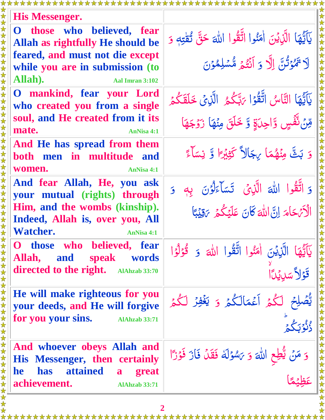| His Messenger.                                                                  |                                                                                  |
|---------------------------------------------------------------------------------|----------------------------------------------------------------------------------|
| O those who believed, fear<br>Allah as rightfully He should be                  | يَآَيُّهَا الَّذِيْنَ اٰمَنُوا اتَّقُوا اللهَ حَقَّ تُقْتِهِ وَ                  |
| feared, and must not die except<br>while you are in submission (to              | لَا تَهْوَتُنَّ إِلَّا وَ أَنْثَمَ مُّسْلِمُوْنَ                                 |
| Allah).<br><b>Aal Imran 3:102</b>                                               |                                                                                  |
| O mankind, fear your Lord<br>who created you from a single                      | يَآَيُّهَا التَّاسُ اتَّقُوۡا يَتِّكُمُ الَّذِيۡ خَلَقَكُمۡ                      |
| soul, and He created from it its<br>mate.<br><b>AnNisa 4:1</b>                  | مِّنْ تَّفَّسٍ وَّاحِدَةٍ وَّ خَلَقَ مِنْهَا زَوْجَهَا                           |
| And He has spread from them<br>both men in multitude and                        | وَ بَثَّ مِنْهُمَا بِجَالاً كَثِيْرًا وَّ نِسَاءً                                |
| women.<br><b>AnNisa 4:1</b><br>And fear Allah, He, you ask                      |                                                                                  |
| your mutual (rights) through                                                    | وَ اتَّقُوا اللهَ الَّذِي تَسَاءَلُوُنَ بِهِ وَ                                  |
| Him, and the wombs (kinship).                                                   | الْأَيْهَامَ إِنَّ اللَّهَ كَانَ عَلَيْكُمْ يَقِيْبًا                            |
| Indeed, Allah is, over you, All<br><b>Watcher.</b><br><b>AnNisa 4:1</b>         |                                                                                  |
| those who believed, fear<br>Ő<br>speak words<br>Allah,<br>and                   | يَآَيُّهَا الَّذِيْنَ اٰمَنُوا اتَّقُوا اللهَ وَ قُوْلُوًا<br>  قَوْلاً سَلِيدًا |
| directed to the right. AlAhzab 33:70                                            |                                                                                  |
| He will make righteous for you<br>your deeds, and He will forgive               | يُّصُلِحُ لَكُمُ أَعْمَالَكُمْ وَ يَغْفِرُ لَكُمْ<br>وورع                        |
| for you your sins.<br><b>AlAhzab 33:71</b>                                      |                                                                                  |
| And whoever obeys Allah and<br><b>His Messenger, then certainly</b>             | وَ مَنْ يُثْطِعِ اللَّهَ وَ يَسْوَلَهُ فَقَلْ فَازَ فَوْزًا                      |
| has attained<br><b>he</b><br>great<br>a<br>achievement.<br><b>AlAhzab 33:71</b> |                                                                                  |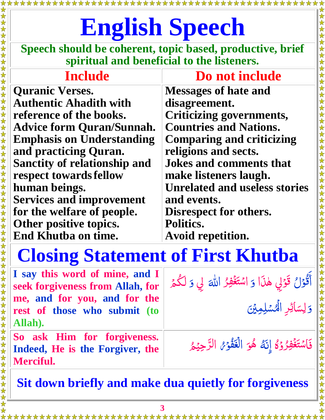# **English Speech**

**Speech should be coherent, topic based, productive, brief spiritual and beneficial to the listeners.**

# **Include Do not include**

**Quranic Verses. Authentic Ahadith with reference of the books. Advice form Quran/Sunnah. Emphasis on Understanding and practicing Quran. Sanctity of relationship and respect towardsfellow human beings. Services and improvement for the welfare of people. Other positive topics. End Khutba on time.**

女女女女女女女女女女女女女女女女女女女女女女女女女女女女女女女

**Messages of hate and disagreement. Criticizing governments, Countries and Nations. Comparing and criticizing religions and sects. Jokes and comments that make listeners laugh. Unrelated and useless stories and events.**

\*\*\*\*\*

**Disrespect for others. Politics.**

**Avoid repetition.**

## **Closing Statement of First Khutba**

| I say this word of mine, and I<br>seek forgiveness from Allah, for<br>me, and for you, and for the<br>rest of those who submit (to<br>Allah). | أَقْوَلْ قَوْلِي هٰذَا وَ اسْتَغْفِرُ اللَّهَ لِي وَ لَكُمْ<br>وَلِسَائِرِ الْمُسْلِمِينَ |
|-----------------------------------------------------------------------------------------------------------------------------------------------|-------------------------------------------------------------------------------------------|
| So ask Him for forgiveness.<br>Indeed, He is the Forgiver, the<br><b>Merciful.</b>                                                            | فَاسْتَغْفِرُوْهُ إِنَّهُ هُوَ الْغَفُوْمُ الرَّحِيْمُ                                    |

**Sit down briefly and make dua quietly for forgiveness**

\*\*\*\*\*\*\*\*\*\*\*\*\*\*\*\*\*